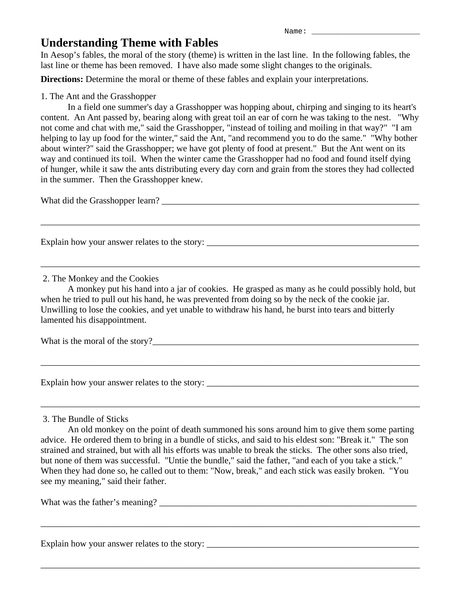# **Understanding Theme with Fables**

In Aesop's fables, the moral of the story (theme) is written in the last line. In the following fables, the last line or theme has been removed. I have also made some slight changes to the originals.

**Directions:** Determine the moral or theme of these fables and explain your interpretations.

## 1. The Ant and the Grasshopper

 In a field one summer's day a Grasshopper was hopping about, chirping and singing to its heart's content. An Ant passed by, bearing along with great toil an ear of corn he was taking to the nest. "Why not come and chat with me," said the Grasshopper, "instead of toiling and moiling in that way?" "I am helping to lay up food for the winter," said the Ant, "and recommend you to do the same." "Why bother about winter?" said the Grasshopper; we have got plenty of food at present." But the Ant went on its way and continued its toil. When the winter came the Grasshopper had no food and found itself dying of hunger, while it saw the ants distributing every day corn and grain from the stores they had collected in the summer. Then the Grasshopper knew.

\_\_\_\_\_\_\_\_\_\_\_\_\_\_\_\_\_\_\_\_\_\_\_\_\_\_\_\_\_\_\_\_\_\_\_\_\_\_\_\_\_\_\_\_\_\_\_\_\_\_\_\_\_\_\_\_\_\_\_\_\_\_\_\_\_\_\_\_\_\_\_\_\_\_\_\_\_\_\_\_\_\_\_\_

\_\_\_\_\_\_\_\_\_\_\_\_\_\_\_\_\_\_\_\_\_\_\_\_\_\_\_\_\_\_\_\_\_\_\_\_\_\_\_\_\_\_\_\_\_\_\_\_\_\_\_\_\_\_\_\_\_\_\_\_\_\_\_\_\_\_\_\_\_\_\_\_\_\_\_\_\_\_\_\_\_\_\_\_

What did the Grasshopper learn? \_\_\_\_\_\_\_\_\_\_\_\_\_\_\_\_\_\_\_\_\_\_\_\_\_\_\_\_\_\_\_\_\_\_\_\_\_\_\_\_\_\_\_\_\_\_\_\_\_\_\_\_\_\_\_\_\_

Explain how your answer relates to the story: \_\_\_\_\_\_\_\_\_\_\_\_\_\_\_\_\_\_\_\_\_\_\_\_\_\_\_\_\_\_\_\_\_\_\_

## 2. The Monkey and the Cookies

A monkey put his hand into a jar of cookies. He grasped as many as he could possibly hold, but when he tried to pull out his hand, he was prevented from doing so by the neck of the cookie jar. Unwilling to lose the cookies, and yet unable to withdraw his hand, he burst into tears and bitterly lamented his disappointment.

\_\_\_\_\_\_\_\_\_\_\_\_\_\_\_\_\_\_\_\_\_\_\_\_\_\_\_\_\_\_\_\_\_\_\_\_\_\_\_\_\_\_\_\_\_\_\_\_\_\_\_\_\_\_\_\_\_\_\_\_\_\_\_\_\_\_\_\_\_\_\_\_\_\_\_\_\_\_\_\_\_\_\_\_

\_\_\_\_\_\_\_\_\_\_\_\_\_\_\_\_\_\_\_\_\_\_\_\_\_\_\_\_\_\_\_\_\_\_\_\_\_\_\_\_\_\_\_\_\_\_\_\_\_\_\_\_\_\_\_\_\_\_\_\_\_\_\_\_\_\_\_\_\_\_\_\_\_\_\_\_\_\_\_\_\_\_\_\_

What is the moral of the story?

Explain how your answer relates to the story: \_\_\_\_\_\_\_\_\_\_\_\_\_\_\_\_\_\_\_\_\_\_\_\_\_\_\_\_\_\_\_\_\_\_\_\_\_\_\_\_\_\_\_\_\_\_\_

### 3. The Bundle of Sticks

An old monkey on the point of death summoned his sons around him to give them some parting advice. He ordered them to bring in a bundle of sticks, and said to his eldest son: "Break it." The son strained and strained, but with all his efforts was unable to break the sticks. The other sons also tried, but none of them was successful. "Untie the bundle," said the father, "and each of you take a stick." When they had done so, he called out to them: "Now, break," and each stick was easily broken. "You see my meaning," said their father.

\_\_\_\_\_\_\_\_\_\_\_\_\_\_\_\_\_\_\_\_\_\_\_\_\_\_\_\_\_\_\_\_\_\_\_\_\_\_\_\_\_\_\_\_\_\_\_\_\_\_\_\_\_\_\_\_\_\_\_\_\_\_\_\_\_\_\_\_\_\_\_\_\_\_\_\_\_\_\_\_\_\_\_\_

\_\_\_\_\_\_\_\_\_\_\_\_\_\_\_\_\_\_\_\_\_\_\_\_\_\_\_\_\_\_\_\_\_\_\_\_\_\_\_\_\_\_\_\_\_\_\_\_\_\_\_\_\_\_\_\_\_\_\_\_\_\_\_\_\_\_\_\_\_\_\_\_\_\_\_\_\_\_\_\_\_\_\_\_

What was the father's meaning?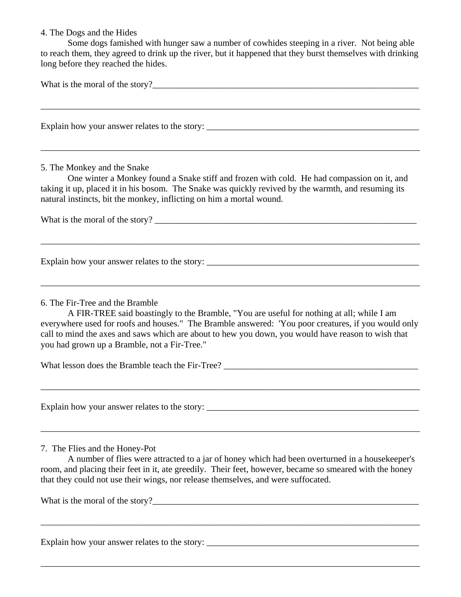#### 4. The Dogs and the Hides

 Some dogs famished with hunger saw a number of cowhides steeping in a river. Not being able to reach them, they agreed to drink up the river, but it happened that they burst themselves with drinking long before they reached the hides.

What is the moral of the story?\_\_\_\_\_\_\_\_\_\_\_\_\_\_\_\_\_\_\_\_\_\_\_\_\_\_\_\_\_\_\_\_\_\_\_\_\_\_\_\_\_\_\_\_\_\_\_\_\_\_\_\_\_\_\_\_\_\_\_

\_\_\_\_\_\_\_\_\_\_\_\_\_\_\_\_\_\_\_\_\_\_\_\_\_\_\_\_\_\_\_\_\_\_\_\_\_\_\_\_\_\_\_\_\_\_\_\_\_\_\_\_\_\_\_\_\_\_\_\_\_\_\_\_\_\_\_\_\_\_\_\_\_\_\_\_\_\_\_\_\_\_\_\_

\_\_\_\_\_\_\_\_\_\_\_\_\_\_\_\_\_\_\_\_\_\_\_\_\_\_\_\_\_\_\_\_\_\_\_\_\_\_\_\_\_\_\_\_\_\_\_\_\_\_\_\_\_\_\_\_\_\_\_\_\_\_\_\_\_\_\_\_\_\_\_\_\_\_\_\_\_\_\_\_\_\_\_\_

Explain how your answer relates to the story: \_\_\_\_\_\_\_\_\_\_\_\_\_\_\_\_\_\_\_\_\_\_\_\_\_\_\_\_\_\_\_\_\_\_\_\_\_\_\_\_\_\_\_\_\_\_\_

#### 5. The Monkey and the Snake

 One winter a Monkey found a Snake stiff and frozen with cold. He had compassion on it, and taking it up, placed it in his bosom. The Snake was quickly revived by the warmth, and resuming its natural instincts, bit the monkey, inflicting on him a mortal wound.

\_\_\_\_\_\_\_\_\_\_\_\_\_\_\_\_\_\_\_\_\_\_\_\_\_\_\_\_\_\_\_\_\_\_\_\_\_\_\_\_\_\_\_\_\_\_\_\_\_\_\_\_\_\_\_\_\_\_\_\_\_\_\_\_\_\_\_\_\_\_\_\_\_\_\_\_\_\_\_\_\_\_\_\_

\_\_\_\_\_\_\_\_\_\_\_\_\_\_\_\_\_\_\_\_\_\_\_\_\_\_\_\_\_\_\_\_\_\_\_\_\_\_\_\_\_\_\_\_\_\_\_\_\_\_\_\_\_\_\_\_\_\_\_\_\_\_\_\_\_\_\_\_\_\_\_\_\_\_\_\_\_\_\_\_\_\_\_\_

What is the moral of the story? \_\_\_\_\_\_\_\_\_\_\_\_\_\_\_\_\_\_\_\_\_\_\_\_\_\_\_\_\_\_\_\_\_\_\_\_\_\_\_\_\_\_\_\_\_\_\_\_\_\_\_\_\_\_\_\_\_\_

Explain how your answer relates to the story: \_\_\_\_\_\_\_\_\_\_\_\_\_\_\_\_\_\_\_\_\_\_\_\_\_\_\_\_\_\_\_\_\_\_\_

6. The Fir-Tree and the Bramble

A FIR-TREE said boastingly to the Bramble, "You are useful for nothing at all; while I am everywhere used for roofs and houses." The Bramble answered: 'You poor creatures, if you would only call to mind the axes and saws which are about to hew you down, you would have reason to wish that you had grown up a Bramble, not a Fir-Tree."

\_\_\_\_\_\_\_\_\_\_\_\_\_\_\_\_\_\_\_\_\_\_\_\_\_\_\_\_\_\_\_\_\_\_\_\_\_\_\_\_\_\_\_\_\_\_\_\_\_\_\_\_\_\_\_\_\_\_\_\_\_\_\_\_\_\_\_\_\_\_\_\_\_\_\_\_\_\_\_\_\_\_\_\_

\_\_\_\_\_\_\_\_\_\_\_\_\_\_\_\_\_\_\_\_\_\_\_\_\_\_\_\_\_\_\_\_\_\_\_\_\_\_\_\_\_\_\_\_\_\_\_\_\_\_\_\_\_\_\_\_\_\_\_\_\_\_\_\_\_\_\_\_\_\_\_\_\_\_\_\_\_\_\_\_\_\_\_\_

What lesson does the Bramble teach the Fir-Tree?

Explain how your answer relates to the story:

7. The Flies and the Honey-Pot

A number of flies were attracted to a jar of honey which had been overturned in a housekeeper's room, and placing their feet in it, ate greedily. Their feet, however, became so smeared with the honey that they could not use their wings, nor release themselves, and were suffocated.

\_\_\_\_\_\_\_\_\_\_\_\_\_\_\_\_\_\_\_\_\_\_\_\_\_\_\_\_\_\_\_\_\_\_\_\_\_\_\_\_\_\_\_\_\_\_\_\_\_\_\_\_\_\_\_\_\_\_\_\_\_\_\_\_\_\_\_\_\_\_\_\_\_\_\_\_\_\_\_\_\_\_\_\_

\_\_\_\_\_\_\_\_\_\_\_\_\_\_\_\_\_\_\_\_\_\_\_\_\_\_\_\_\_\_\_\_\_\_\_\_\_\_\_\_\_\_\_\_\_\_\_\_\_\_\_\_\_\_\_\_\_\_\_\_\_\_\_\_\_\_\_\_\_\_\_\_\_\_\_\_\_\_\_\_\_\_\_\_

What is the moral of the story?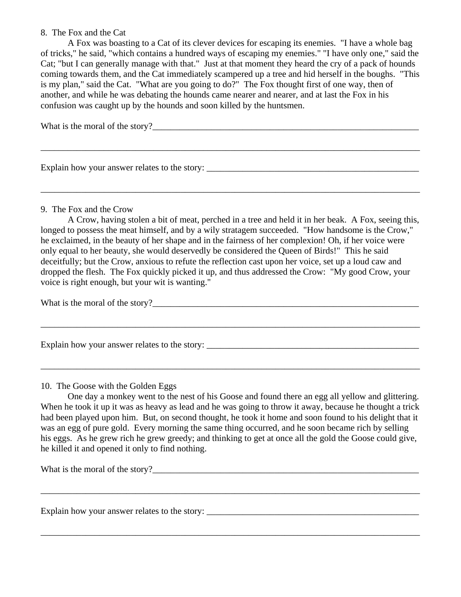#### 8. The Fox and the Cat

 A Fox was boasting to a Cat of its clever devices for escaping its enemies. "I have a whole bag of tricks," he said, "which contains a hundred ways of escaping my enemies." "I have only one," said the Cat; "but I can generally manage with that." Just at that moment they heard the cry of a pack of hounds coming towards them, and the Cat immediately scampered up a tree and hid herself in the boughs. "This is my plan," said the Cat. "What are you going to do?" The Fox thought first of one way, then of another, and while he was debating the hounds came nearer and nearer, and at last the Fox in his confusion was caught up by the hounds and soon killed by the huntsmen.

\_\_\_\_\_\_\_\_\_\_\_\_\_\_\_\_\_\_\_\_\_\_\_\_\_\_\_\_\_\_\_\_\_\_\_\_\_\_\_\_\_\_\_\_\_\_\_\_\_\_\_\_\_\_\_\_\_\_\_\_\_\_\_\_\_\_\_\_\_\_\_\_\_\_\_\_\_\_\_\_\_\_\_\_

\_\_\_\_\_\_\_\_\_\_\_\_\_\_\_\_\_\_\_\_\_\_\_\_\_\_\_\_\_\_\_\_\_\_\_\_\_\_\_\_\_\_\_\_\_\_\_\_\_\_\_\_\_\_\_\_\_\_\_\_\_\_\_\_\_\_\_\_\_\_\_\_\_\_\_\_\_\_\_\_\_\_\_\_

What is the moral of the story?

Explain how your answer relates to the story: \_\_\_\_\_\_\_\_\_\_\_\_\_\_\_\_\_\_\_\_\_\_\_\_\_\_\_\_\_\_\_\_\_\_\_\_\_\_\_\_\_\_\_\_\_\_\_

9. The Fox and the Crow

A Crow, having stolen a bit of meat, perched in a tree and held it in her beak. A Fox, seeing this, longed to possess the meat himself, and by a wily stratagem succeeded. "How handsome is the Crow," he exclaimed, in the beauty of her shape and in the fairness of her complexion! Oh, if her voice were only equal to her beauty, she would deservedly be considered the Queen of Birds!" This he said deceitfully; but the Crow, anxious to refute the reflection cast upon her voice, set up a loud caw and dropped the flesh. The Fox quickly picked it up, and thus addressed the Crow: "My good Crow, your voice is right enough, but your wit is wanting."

\_\_\_\_\_\_\_\_\_\_\_\_\_\_\_\_\_\_\_\_\_\_\_\_\_\_\_\_\_\_\_\_\_\_\_\_\_\_\_\_\_\_\_\_\_\_\_\_\_\_\_\_\_\_\_\_\_\_\_\_\_\_\_\_\_\_\_\_\_\_\_\_\_\_\_\_\_\_\_\_\_\_\_\_

\_\_\_\_\_\_\_\_\_\_\_\_\_\_\_\_\_\_\_\_\_\_\_\_\_\_\_\_\_\_\_\_\_\_\_\_\_\_\_\_\_\_\_\_\_\_\_\_\_\_\_\_\_\_\_\_\_\_\_\_\_\_\_\_\_\_\_\_\_\_\_\_\_\_\_\_\_\_\_\_\_\_\_\_

What is the moral of the story?

Explain how your answer relates to the story: \_\_\_\_\_\_\_\_\_\_\_\_\_\_\_\_\_\_\_\_\_\_\_\_\_\_\_\_\_\_\_\_\_\_\_

10. The Goose with the Golden Eggs

One day a monkey went to the nest of his Goose and found there an egg all yellow and glittering. When he took it up it was as heavy as lead and he was going to throw it away, because he thought a trick had been played upon him. But, on second thought, he took it home and soon found to his delight that it was an egg of pure gold. Every morning the same thing occurred, and he soon became rich by selling his eggs. As he grew rich he grew greedy; and thinking to get at once all the gold the Goose could give, he killed it and opened it only to find nothing.

\_\_\_\_\_\_\_\_\_\_\_\_\_\_\_\_\_\_\_\_\_\_\_\_\_\_\_\_\_\_\_\_\_\_\_\_\_\_\_\_\_\_\_\_\_\_\_\_\_\_\_\_\_\_\_\_\_\_\_\_\_\_\_\_\_\_\_\_\_\_\_\_\_\_\_\_\_\_\_\_\_\_\_\_

\_\_\_\_\_\_\_\_\_\_\_\_\_\_\_\_\_\_\_\_\_\_\_\_\_\_\_\_\_\_\_\_\_\_\_\_\_\_\_\_\_\_\_\_\_\_\_\_\_\_\_\_\_\_\_\_\_\_\_\_\_\_\_\_\_\_\_\_\_\_\_\_\_\_\_\_\_\_\_\_\_\_\_\_

What is the moral of the story?